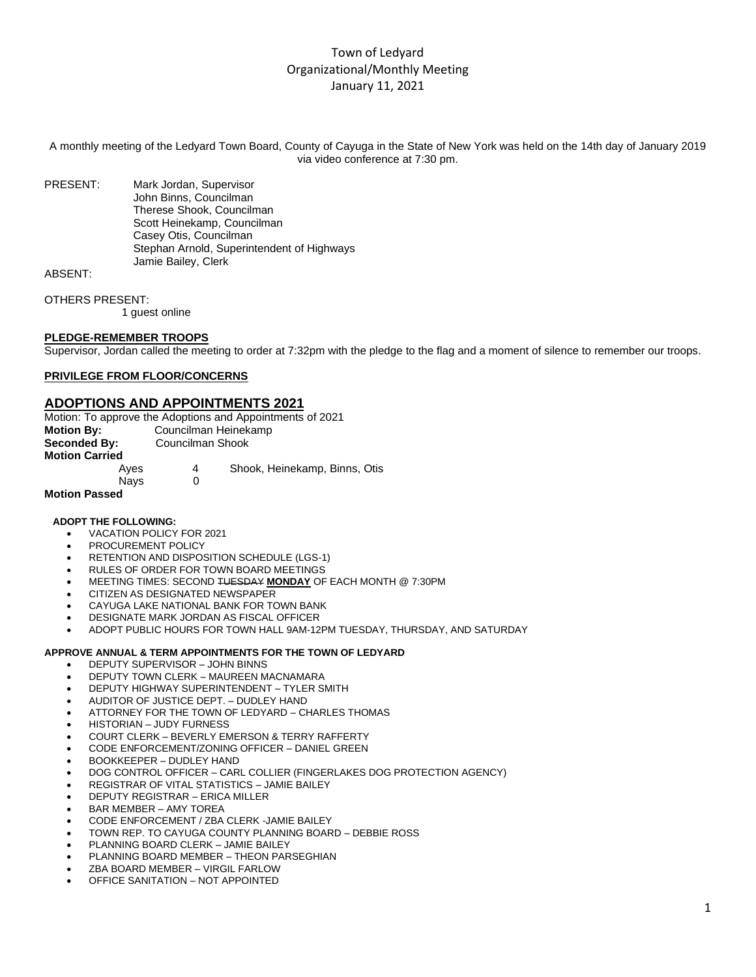# Town of Ledyard Organizational/Monthly Meeting January 11, 2021

A monthly meeting of the Ledyard Town Board, County of Cayuga in the State of New York was held on the 14th day of January 2019 via video conference at 7:30 pm.

PRESENT: Mark Jordan, Supervisor John Binns, Councilman Therese Shook, Councilman Scott Heinekamp, Councilman Casey Otis, Councilman Stephan Arnold, Superintendent of Highways Jamie Bailey, Clerk

ABSENT:

OTHERS PRESENT:

1 guest online

#### **PLEDGE-REMEMBER TROOPS**

Supervisor, Jordan called the meeting to order at 7:32pm with the pledge to the flag and a moment of silence to remember our troops.

## **PRIVILEGE FROM FLOOR/CONCERNS**

# **ADOPTIONS AND APPOINTMENTS 2021**

| Motion: To approve the Adoptions and Appointments of 2021 |                      |                               |  |  |
|-----------------------------------------------------------|----------------------|-------------------------------|--|--|
| <b>Motion By:</b>                                         | Councilman Heinekamp |                               |  |  |
| Seconded By:                                              | Councilman Shook     |                               |  |  |
| <b>Motion Carried</b>                                     |                      |                               |  |  |
| Aves                                                      | 4                    | Shook, Heinekamp, Binns, Otis |  |  |
| Nays                                                      |                      |                               |  |  |
|                                                           |                      |                               |  |  |

# **Motion Passed**

#### **ADOPT THE FOLLOWING:**

- VACATION POLICY FOR 2021
- PROCUREMENT POLICY
- RETENTION AND DISPOSITION SCHEDULE (LGS-1)
- RULES OF ORDER FOR TOWN BOARD MEETINGS
- MEETING TIMES: SECOND TUESDAY **MONDAY** OF EACH MONTH @ 7:30PM
- CITIZEN AS DESIGNATED NEWSPAPER
- CAYUGA LAKE NATIONAL BANK FOR TOWN BANK
- DESIGNATE MARK JORDAN AS FISCAL OFFICER
- ADOPT PUBLIC HOURS FOR TOWN HALL 9AM-12PM TUESDAY, THURSDAY, AND SATURDAY

#### **APPROVE ANNUAL & TERM APPOINTMENTS FOR THE TOWN OF LEDYARD**

- DEPUTY SUPERVISOR JOHN BINNS
- DEPUTY TOWN CLERK MAUREEN MACNAMARA
- DEPUTY HIGHWAY SUPERINTENDENT TYLER SMITH
- AUDITOR OF JUSTICE DEPT. DUDLEY HAND
- ATTORNEY FOR THE TOWN OF LEDYARD CHARLES THOMAS
- HISTORIAN JUDY FURNESS
- COURT CLERK BEVERLY EMERSON & TERRY RAFFERTY
- CODE ENFORCEMENT/ZONING OFFICER DANIEL GREEN
- BOOKKEEPER DUDLEY HAND
- DOG CONTROL OFFICER CARL COLLIER (FINGERLAKES DOG PROTECTION AGENCY)
- REGISTRAR OF VITAL STATISTICS JAMIE BAILEY
- DEPUTY REGISTRAR ERICA MILLER
- BAR MEMBER AMY TOREA
- CODE ENFORCEMENT / ZBA CLERK -JAMIE BAILEY
- TOWN REP. TO CAYUGA COUNTY PLANNING BOARD DEBBIE ROSS
- PLANNING BOARD CLERK JAMIE BAILEY
- PLANNING BOARD MEMBER THEON PARSEGHIAN
- ZBA BOARD MEMBER VIRGIL FARLOW
- OFFICE SANITATION NOT APPOINTED